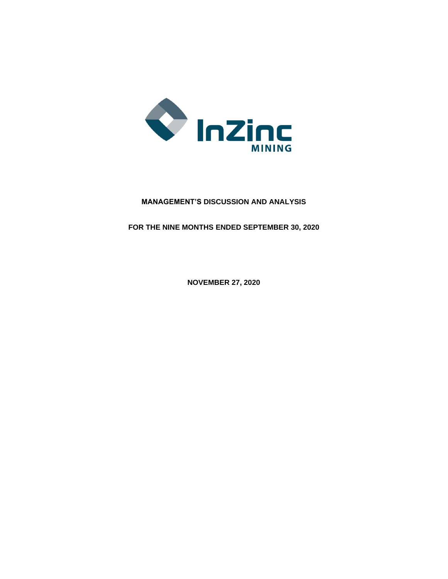

# **MANAGEMENT'S DISCUSSION AND ANALYSIS**

**FOR THE NINE MONTHS ENDED SEPTEMBER 30, 2020**

**NOVEMBER 27, 2020**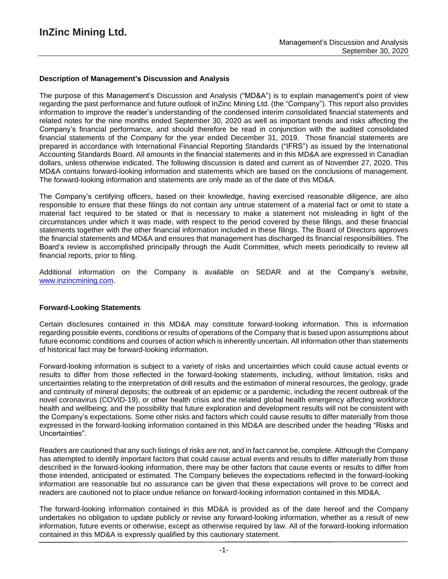### **Description of Management's Discussion and Analysis**

The purpose of this Management's Discussion and Analysis ("MD&A") is to explain management's point of view regarding the past performance and future outlook of InZinc Mining Ltd. (the "Company"). This report also provides information to improve the reader's understanding of the condensed interim consolidated financial statements and related notes for the nine months ended September 30, 2020 as well as important trends and risks affecting the Company's financial performance, and should therefore be read in conjunction with the audited consolidated financial statements of the Company for the year ended December 31, 2019. Those financial statements are prepared in accordance with International Financial Reporting Standards ("IFRS") as issued by the International Accounting Standards Board. All amounts in the financial statements and in this MD&A are expressed in Canadian dollars, unless otherwise indicated. The following discussion is dated and current as of November 27, 2020. This MD&A contains forward-looking information and statements which are based on the conclusions of management. The forward-looking information and statements are only made as of the date of this MD&A.

The Company's certifying officers, based on their knowledge, having exercised reasonable diligence, are also responsible to ensure that these filings do not contain any untrue statement of a material fact or omit to state a material fact required to be stated or that is necessary to make a statement not misleading in light of the circumstances under which it was made, with respect to the period covered by these filings, and these financial statements together with the other financial information included in these filings. The Board of Directors approves the financial statements and MD&A and ensures that management has discharged its financial responsibilities. The Board's review is accomplished principally through the Audit Committee, which meets periodically to review all financial reports, prior to filing.

Additional information on the Company is available on SEDAR and at the Company's website, www.inzincmining.com.

#### **Forward-Looking Statements**

Certain disclosures contained in this MD&A may constitute forward-looking information. This is information regarding possible events, conditions or results of operations of the Company that is based upon assumptions about future economic conditions and courses of action which is inherently uncertain. All information other than statements of historical fact may be forward-looking information.

Forward-looking information is subject to a variety of risks and uncertainties which could cause actual events or results to differ from those reflected in the forward-looking statements, including, without limitation, risks and uncertainties relating to the interpretation of drill results and the estimation of mineral resources, the geology, grade and continuity of mineral deposits; the outbreak of an epidemic or a pandemic, including the recent outbreak of the novel coronavirus (COVID-19), or other health crisis and the related global health emergency affecting workforce health and wellbeing; and the possibility that future exploration and development results will not be consistent with the Company's expectations. Some other risks and factors which could cause results to differ materially from those expressed in the forward-looking information contained in this MD&A are described under the heading "Risks and Uncertainties".

Readers are cautioned that any such listings of risks are not, and in fact cannot be, complete. Although the Company has attempted to identify important factors that could cause actual events and results to differ materially from those described in the forward-looking information, there may be other factors that cause events or results to differ from those intended, anticipated or estimated. The Company believes the expectations reflected in the forward-looking information are reasonable but no assurance can be given that these expectations will prove to be correct and readers are cautioned not to place undue reliance on forward-looking information contained in this MD&A.

The forward-looking information contained in this MD&A is provided as of the date hereof and the Company undertakes no obligation to update publicly or revise any forward-looking information, whether as a result of new information, future events or otherwise, except as otherwise required by law. All of the forward-looking information contained in this MD&A is expressly qualified by this cautionary statement.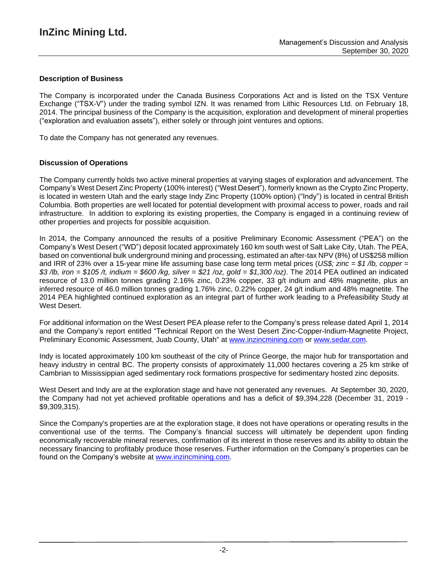# **Description of Business**

The Company is incorporated under the Canada Business Corporations Act and is listed on the TSX Venture Exchange ("TSX-V") under the trading symbol IZN. It was renamed from Lithic Resources Ltd. on February 18, 2014. The principal business of the Company is the acquisition, exploration and development of mineral properties ("exploration and evaluation assets"), either solely or through joint ventures and options.

To date the Company has not generated any revenues.

## **Discussion of Operations**

The Company currently holds two active mineral properties at varying stages of exploration and advancement. The Company's West Desert Zinc Property (100% interest) ("West Desert"), formerly known as the Crypto Zinc Property, is located in western Utah and the early stage Indy Zinc Property (100% option) ("Indy") is located in central British Columbia. Both properties are well located for potential development with proximal access to power, roads and rail infrastructure. In addition to exploring its existing properties, the Company is engaged in a continuing review of other properties and projects for possible acquisition.

In 2014, the Company announced the results of a positive Preliminary Economic Assessment ("PEA") on the Company's West Desert ("WD") deposit located approximately 160 km south west of Salt Lake City, Utah. The PEA, based on conventional bulk underground mining and processing, estimated an after-tax NPV (8%) of US\$258 million and IRR of 23% over a 15-year mine life assuming base case long term metal prices (*US\$; zinc = \$1 /lb, copper =* \$3/lb, iron = \$105/t, indium = \$600/kg, silver = \$21/oz, gold = \$1,300/oz). The 2014 PEA outlined an indicated resource of 13.0 million tonnes grading 2.16% zinc, 0.23% copper, 33 g/t indium and 48% magnetite, plus an inferred resource of 46.0 million tonnes grading 1.76% zinc, 0.22% copper, 24 g/t indium and 48% magnetite. The 2014 PEA highlighted continued exploration as an integral part of further work leading to a Prefeasibility Study at West Desert.

For additional information on the West Desert PEA please refer to the Company's press release dated April 1, 2014 and the Company's report entitled "Technical Report on the West Desert Zinc-Copper-Indium-Magnetite Project, Preliminary Economic Assessment, Juab County, Utah" at [www.inzincmining.com](http://www.inzincmining.com/) or [www.sedar.com.](http://www.sedar.com/)

Indy is located approximately 100 km southeast of the city of Prince George, the major hub for transportation and heavy industry in central BC. The property consists of approximately 11,000 hectares covering a 25 km strike of Cambrian to Mississippian aged sedimentary rock formations prospective for sedimentary hosted zinc deposits.

West Desert and Indy are at the exploration stage and have not generated any revenues. At September 30, 2020, the Company had not yet achieved profitable operations and has a deficit of \$9,394,228 (December 31, 2019 - \$9,309,315).

Since the Company's properties are at the exploration stage, it does not have operations or operating results in the conventional use of the terms. The Company's financial success will ultimately be dependent upon finding economically recoverable mineral reserves, confirmation of its interest in those reserves and its ability to obtain the necessary financing to profitably produce those reserves. Further information on the Company's properties can be found on the Company's website at www.inzincmining.com.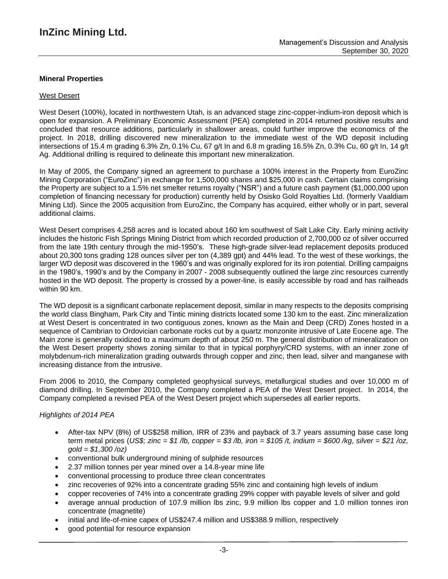### **Mineral Properties**

#### West Desert

West Desert (100%), located in northwestern Utah, is an advanced stage zinc-copper-indium-iron deposit which is open for expansion. A Preliminary Economic Assessment (PEA) completed in 2014 returned positive results and concluded that resource additions, particularly in shallower areas, could further improve the economics of the project. In 2018, drilling discovered new mineralization to the immediate west of the WD deposit including intersections of 15.4 m grading 6.3% Zn, 0.1% Cu, 67 g/t In and 6.8 m grading 16.5% Zn, 0.3% Cu, 60 g/t In, 14 g/t Ag. Additional drilling is required to delineate this important new mineralization.

In May of 2005, the Company signed an agreement to purchase a 100% interest in the Property from EuroZinc Mining Corporation ("EuroZinc") in exchange for 1,500,000 shares and \$25,000 in cash. Certain claims comprising the Property are subject to a 1.5% net smelter returns royalty ("NSR") and a future cash payment (\$1,000,000 upon completion of financing necessary for production) currently held by Osisko Gold Royalties Ltd. (formerly Vaaldiam Mining Ltd). Since the 2005 acquisition from EuroZinc, the Company has acquired, either wholly or in part, several additional claims.

West Desert comprises 4,258 acres and is located about 160 km southwest of Salt Lake City. Early mining activity includes the historic Fish Springs Mining District from which recorded production of 2,700,000 oz of silver occurred from the late 19th century through the mid-1950's. These high-grade silver-lead replacement deposits produced about 20,300 tons grading 128 ounces silver per ton (4,389 gpt) and 44% lead. To the west of these workings, the larger WD deposit was discovered in the 1960's and was originally explored for its iron potential. Drilling campaigns in the 1980's, 1990's and by the Company in 2007 - 2008 subsequently outlined the large zinc resources currently hosted in the WD deposit. The property is crossed by a power-line, is easily accessible by road and has railheads within 90 km.

The WD deposit is a significant carbonate replacement deposit, similar in many respects to the deposits comprising the world class Bingham, Park City and Tintic mining districts located some 130 km to the east. Zinc mineralization at West Desert is concentrated in two contiguous zones, known as the Main and Deep (CRD) Zones hosted in a sequence of Cambrian to Ordovician carbonate rocks cut by a quartz monzonite intrusive of Late Eocene age. The Main zone is generally oxidized to a maximum depth of about 250 m. The general distribution of mineralization on the West Desert property shows zoning similar to that in typical porphyry/CRD systems, with an inner zone of molybdenum-rich mineralization grading outwards through copper and zinc, then lead, silver and manganese with increasing distance from the intrusive.

From 2006 to 2010, the Company completed geophysical surveys, metallurgical studies and over 10,000 m of diamond drilling. In September 2010, the Company completed a PEA of the West Desert project. In 2014, the Company completed a revised PEA of the West Desert project which supersedes all earlier reports.

#### *Highlights of 2014 PEA*

- After-tax NPV (8%) of US\$258 million, IRR of 23% and payback of 3.7 years assuming base case long term metal prices (US\$; zinc = \$1 /b, copper = \$3 /b, iron = \$105 /t, indium = \$600 /kg, silver = \$21 /oz, *gold = \$1,300 /oz)*
- conventional bulk underground mining of sulphide resources
- 2.37 million tonnes per year mined over a 14.8-year mine life
- conventional processing to produce three clean concentrates
- zinc recoveries of 92% into a concentrate grading 55% zinc and containing high levels of indium
- copper recoveries of 74% into a concentrate grading 29% copper with payable levels of silver and gold
- average annual production of 107.9 million lbs zinc, 9.9 million lbs copper and 1.0 million tonnes iron concentrate (magnetite)
- initial and life-of-mine capex of US\$247.4 million and US\$388.9 million, respectively
- good potential for resource expansion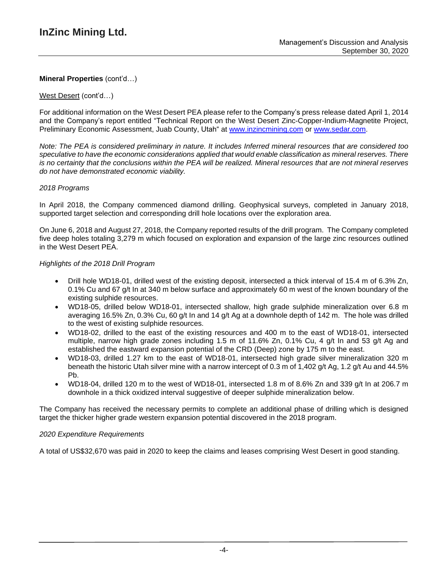### West Desert (cont'd…)

For additional information on the West Desert PEA please refer to the Company's press release dated April 1, 2014 and the Company's report entitled "Technical Report on the West Desert Zinc-Copper-Indium-Magnetite Project, Preliminary Economic Assessment, Juab County, Utah" at [www.inzincmining.com](http://www.inzincmining.com/) or [www.sedar.com.](http://www.sedar.com/)

Note: The PEA is considered preliminary in nature. It includes Inferred mineral resources that are considered too *speculative to have the economic considerations applied that would enable classification as mineral reserves. There* is no certainty that the conclusions within the PEA will be realized. Mineral resources that are not mineral reserves *do not have demonstrated economic viability.*

### *2018 Programs*

In April 2018, the Company commenced diamond drilling. Geophysical surveys, completed in January 2018, supported target selection and corresponding drill hole locations over the exploration area.

On June 6, 2018 and August 27, 2018, the Company reported results of the drill program. The Company completed five deep holes totaling 3,279 m which focused on exploration and expansion of the large zinc resources outlined in the West Desert PEA.

### *Highlights of the 2018 Drill Program*

- Drill hole WD18-01, drilled west of the existing deposit, intersected a thick interval of 15.4 m of 6.3% Zn, 0.1% Cu and 67 g/t In at 340 m below surface and approximately 60 m west of the known boundary of the existing sulphide resources.
- WD18-05, drilled below WD18-01, intersected shallow, high grade sulphide mineralization over 6.8 m averaging 16.5% Zn, 0.3% Cu, 60 g/t In and 14 g/t Ag at a downhole depth of 142 m. The hole was drilled to the west of existing sulphide resources.
- WD18-02, drilled to the east of the existing resources and 400 m to the east of WD18-01, intersected multiple, narrow high grade zones including 1.5 m of 11.6% Zn, 0.1% Cu, 4 g/t In and 53 g/t Ag and established the eastward expansion potential of the CRD (Deep) zone by 175 m to the east.
- WD18-03, drilled 1.27 km to the east of WD18-01, intersected high grade silver mineralization 320 m beneath the historic Utah silver mine with a narrow intercept of 0.3 m of 1,402 g/t Ag, 1.2 g/t Au and 44.5% Pb.
- WD18-04, drilled 120 m to the west of WD18-01, intersected 1.8 m of 8.6% Zn and 339  $\alpha/t$  In at 206.7 m downhole in a thick oxidized interval suggestive of deeper sulphide mineralization below.

The Company has received the necessary permits to complete an additional phase of drilling which is designed target the thicker higher grade western expansion potential discovered in the 2018 program.

#### *2020 Expenditure Requirements*

A total of US\$32,670 was paid in 2020 to keep the claims and leases comprising West Desert in good standing.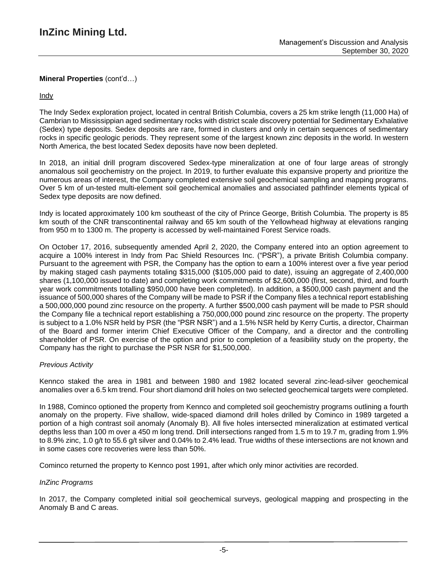# Indy

The Indy Sedex exploration project, located in central British Columbia, covers a 25 km strike length (11,000 Ha) of Cambrian to Mississippian aged sedimentary rocks with district scale discovery potential for Sedimentary Exhalative (Sedex) type deposits. Sedex deposits are rare, formed in clusters and only in certain sequences of sedimentary rocks in specific geologic periods. They represent some of the largest known zinc deposits in the world. In western North America, the best located Sedex deposits have now been depleted.

In 2018, an initial drill program discovered Sedex-type mineralization at one of four large areas of strongly anomalous soil geochemistry on the project. In 2019, to further evaluate this expansive property and prioritize the numerous areas of interest, the Company completed extensive soil geochemical sampling and mapping programs. Over 5 km of un-tested multi-element soil geochemical anomalies and associated pathfinder elements typical of Sedex type deposits are now defined.

Indy is located approximately 100 km southeast of the city of Prince George, British Columbia. The property is 85 km south of the CNR transcontinental railway and 65 km south of the Yellowhead highway at elevations ranging from 950 m to 1300 m. The property is accessed by well-maintained Forest Service roads.

On October 17, 2016, subsequently amended April 2, 2020, the Company entered into an option agreement to acquire a 100% interest in Indy from Pac Shield Resources Inc. ("PSR"), a private British Columbia company. Pursuant to the agreement with PSR, the Company has the option to earn a 100% interest over a five year period by making staged cash payments totaling \$315,000 (\$105,000 paid to date), issuing an aggregate of 2,400,000 shares (1,100,000 issued to date) and completing work commitments of \$2,600,000 (first, second, third, and fourth year work commitments totalling \$950,000 have been completed). In addition, a \$500,000 cash payment and the issuance of 500,000 shares of the Company will be made to PSR if the Company files a technical report establishing a 500,000,000 pound zinc resource on the property. A further \$500,000 cash payment will be made to PSR should the Company file a technical report establishing a 750,000,000 pound zinc resource on the property. The property is subject to a 1.0% NSR held by PSR (the "PSR NSR") and a 1.5% NSR held by Kerry Curtis, a director, Chairman of the Board and former interim Chief Executive Officer of the Company, and a director and the controlling shareholder of PSR. On exercise of the option and prior to completion of a feasibility study on the property, the Company has the right to purchase the PSR NSR for \$1,500,000.

## *Previous Activity*

Kennco staked the area in 1981 and between 1980 and 1982 located several zinc-lead-silver geochemical anomalies over a 6.5 km trend. Four short diamond drill holes on two selected geochemical targets were completed.

In 1988, Cominco optioned the property from Kennco and completed soil geochemistry programs outlining a fourth anomaly on the property. Five shallow, wide-spaced diamond drill holes drilled by Cominco in 1989 targeted a portion of a high contrast soil anomaly (Anomaly B). All five holes intersected mineralization at estimated vertical depths less than 100 m over a 450 m long trend. Drill intersections ranged from 1.5 m to 19.7 m, grading from 1.9% to 8.9% zinc, 1.0 g/t to 55.6 g/t silver and 0.04% to 2.4% lead. True widths of these intersections are not known and in some cases core recoveries were less than 50%.

Cominco returned the property to Kennco post 1991, after which only minor activities are recorded.

## *InZinc Programs*

In 2017, the Company completed initial soil geochemical surveys, geological mapping and prospecting in the Anomaly B and C areas.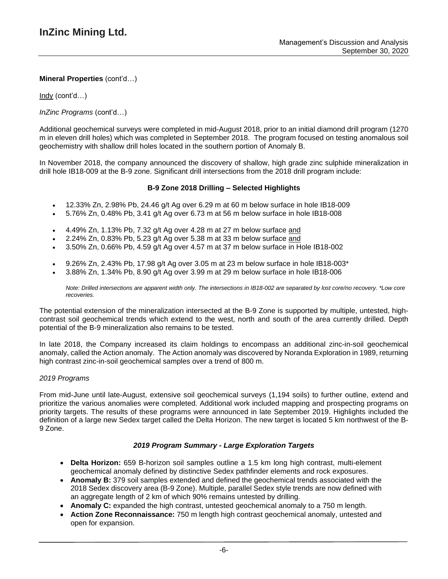Indy (cont'd…)

*InZinc Programs* (cont'd…)

Additional geochemical surveys were completed in mid-August 2018, prior to an initial diamond drill program (1270 m in eleven drill holes) which was completed in September 2018. The program focused on testing anomalous soil geochemistry with shallow drill holes located in the southern portion of Anomaly B.

In November 2018, the company announced the discovery of shallow, high grade zinc sulphide mineralization in drill hole IB18-009 at the B-9 zone. Significant drill intersections from the 2018 drill program include:

### **B-9 Zone 2018 Drilling – Selected Highlights**

- $\bullet$  12.33% Zn, 2.98% Pb, 24.46 g/t Ag over 6.29 m at 60 m below surface in hole IB18-009
- 5.76% Zn, 0.48% Pb, 3.41 g/t Ag over 6.73 m at 56 m below surface in hole IB18-008
- 4.49% Zn, 1.13% Pb, 7.32 g/t Ag over 4.28 m at 27 m below surface and
- 2.24% Zn, 0.83% Pb, 5.23 g/t Ag over 5.38 m at 33 m below surface and
- 3.50% Zn, 0.66% Pb, 4.59 g/t Ag over 4.57 m at 37 m below surface in Hole IB18-002
- 9.26% Zn, 2.43% Pb, 17.98 g/t Ag over 3.05 m at 23 m below surface in hole IB18-003\*
- 3.88% Zn, 1.34% Pb, 8.90 g/t Ag over 3.99 m at 29 m below surface in hole IB18-006

Note: Drilled intersections are apparent width only. The intersections in IB18-002 are separated by lost core/no recovery. \*Low core *recoveries.*

The potential extension of the mineralization intersected at the B-9 Zone is supported by multiple, untested, highcontrast soil geochemical trends which extend to the west, north and south of the area currently drilled. Depth potential of the B-9 mineralization also remains to be tested.

In late 2018, the Company increased its claim holdings to encompass an additional zinc-in-soil geochemical anomaly, called the Action anomaly. The Action anomaly was discovered by Noranda Exploration in 1989, returning high contrast zinc-in-soil geochemical samples over a trend of 800 m.

#### *2019 Programs*

From mid-June until late-August, extensive soil geochemical surveys (1,194 soils) to further outline, extend and prioritize the various anomalies were completed. Additional work included mapping and prospecting programs on priority targets. The results of these programs were announced in late September 2019. Highlights included the definition of a large new Sedex target called the Delta Horizon. The new target is located 5 km northwest of the B-9 Zone.

#### *2019 Program Summary - Large Exploration Targets*

- **Delta Horizon:** 659 B-horizon soil samples outline a 1.5 km long high contrast, multi-element geochemical anomaly defined by distinctive Sedex pathfinder elements and rock exposures.
- **Anomaly B:** 379 soil samples extended and defined the geochemical trends associated with the 2018 Sedex discovery area (B-9 Zone). Multiple, parallel Sedex style trends are now defined with an aggregate length of 2 km of which 90% remains untested by drilling.
- **Anomaly C:** expanded the high contrast, untested geochemical anomaly to a 750 m length.
- **Action Zone Reconnaissance:** 750 m length high contrast geochemical anomaly, untested and open for expansion.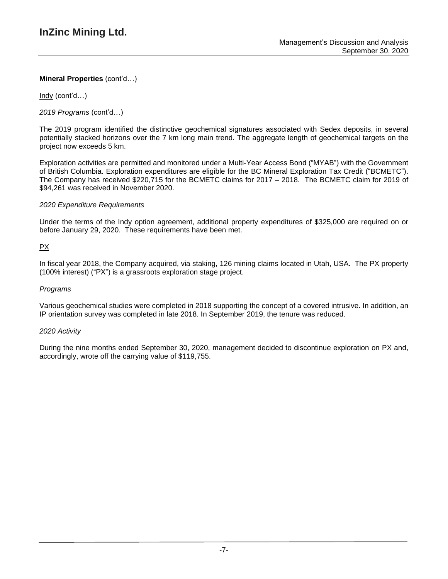Indy (cont'd…)

*2019 Programs* (cont'd…)

The 2019 program identified the distinctive geochemical signatures associated with Sedex deposits, in several potentially stacked horizons over the 7 km long main trend. The aggregate length of geochemical targets on the project now exceeds 5 km.

Exploration activities are permitted and monitored under a Multi-Year Access Bond ("MYAB") with the Government of British Columbia. Exploration expenditures are eligible for the BC Mineral Exploration Tax Credit ("BCMETC"). The Company has received \$220,715 for the BCMETC claims for 2017 – 2018. The BCMETC claim for 2019 of \$94,261 was received in November 2020.

## *2020 Expenditure Requirements*

Under the terms of the Indy option agreement, additional property expenditures of \$325,000 are required on or before January 29, 2020. These requirements have been met.

# PX

In fiscal year 2018, the Company acquired, via staking, 126 mining claims located in Utah, USA. The PX property (100% interest) ("PX") is a grassroots exploration stage project.

# *Programs*

Various geochemical studies were completed in 2018 supporting the concept of a covered intrusive. In addition, an IP orientation survey was completed in late 2018. In September 2019, the tenure was reduced.

## *2020 Activity*

During the nine months ended September 30, 2020, management decided to discontinue exploration on PX and, accordingly, wrote off the carrying value of \$119,755.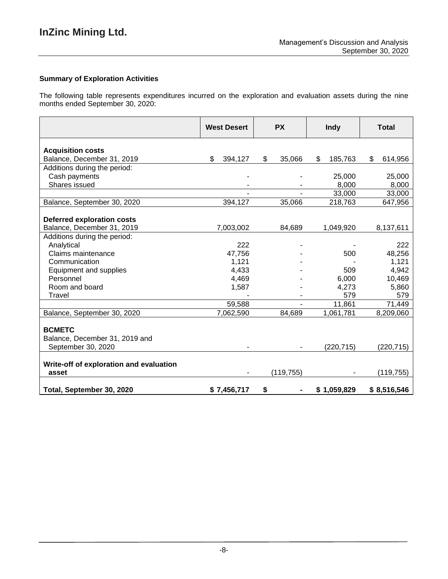### **Summary of Exploration Activities**

The following table represents expenditures incurred on the exploration and evaluation assets during the nine months ended September 30, 2020:

|                                         | <b>West Desert</b> | <b>PX</b>    | <b>Indy</b>   | <b>Total</b>  |
|-----------------------------------------|--------------------|--------------|---------------|---------------|
| <b>Acquisition costs</b>                |                    |              |               |               |
| Balance, December 31, 2019              | \$<br>394,127      | 35,066<br>\$ | \$<br>185,763 | \$<br>614,956 |
| Additions during the period:            |                    |              |               |               |
| Cash payments                           |                    |              | 25,000        | 25,000        |
| Shares issued                           |                    |              | 8,000         | 8,000         |
|                                         |                    |              | 33,000        | 33,000        |
| Balance, September 30, 2020             | 394,127            | 35,066       | 218,763       | 647,956       |
|                                         |                    |              |               |               |
| <b>Deferred exploration costs</b>       |                    |              |               |               |
| Balance, December 31, 2019              | 7,003,002          | 84,689       | 1,049,920     | 8,137,611     |
| Additions during the period:            |                    |              |               |               |
| Analytical                              | 222                |              |               | 222           |
| Claims maintenance                      | 47,756             |              | 500           | 48,256        |
| Communication                           | 1,121              |              |               | 1,121         |
| Equipment and supplies                  | 4,433              |              | 509           | 4,942         |
| Personnel                               | 4,469              |              | 6,000         | 10,469        |
| Room and board                          | 1,587              |              | 4,273         | 5,860         |
| Travel                                  |                    |              | 579           | 579           |
|                                         | 59,588             |              | 11,861        | 71,449        |
| Balance, September 30, 2020             | 7,062,590          | 84,689       | 1,061,781     | 8,209,060     |
| <b>BCMETC</b>                           |                    |              |               |               |
| Balance, December 31, 2019 and          |                    |              |               |               |
| September 30, 2020                      |                    |              | (220, 715)    | (220,715)     |
|                                         |                    |              |               |               |
| Write-off of exploration and evaluation |                    |              |               |               |
| asset                                   |                    | (119, 755)   |               | (119, 755)    |
| Total, September 30, 2020               | \$7,456,717        | \$           | \$1,059,829   | \$8,516,546   |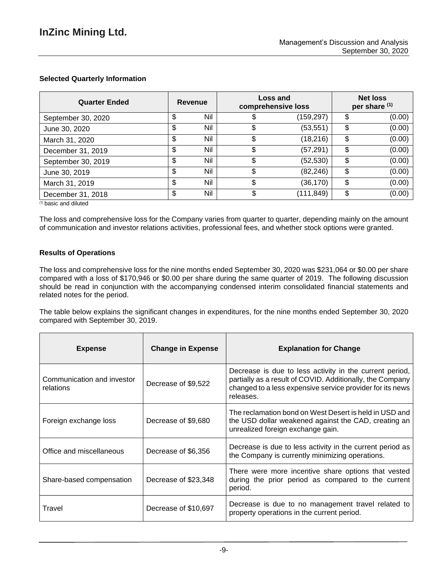# **Selected Quarterly Information**

| <b>Quarter Ended</b> |    | Revenue | Loss and<br>comprehensive loss |            | <b>Net loss</b><br>per share (1) |        |
|----------------------|----|---------|--------------------------------|------------|----------------------------------|--------|
| September 30, 2020   | S  | Nil     | S                              | (159,297)  | \$                               | (0.00) |
| June 30, 2020        | \$ | Nil     | \$                             | (53, 551)  | \$                               | (0.00) |
| March 31, 2020       | \$ | Nil     | \$                             | (18, 216)  | \$                               | (0.00) |
| December 31, 2019    | \$ | Nil     | \$                             | (57, 291)  | \$                               | (0.00) |
| September 30, 2019   | S  | Nil     |                                | (52, 530)  | \$                               | (0.00) |
| June 30, 2019        | \$ | Nil     | \$                             | (82, 246)  | \$                               | (0.00) |
| March 31, 2019       | \$ | Nil     | \$                             | (36,170)   | \$                               | (0.00) |
| December 31, 2018    | \$ | Nil     | \$                             | (111, 849) | \$                               | (0.00) |

*(1)* basic and diluted

The loss and comprehensive loss for the Company varies from quarter to quarter, depending mainly on the amount of communication and investor relations activities, professional fees, and whether stock options were granted.

## **Results of Operations**

The loss and comprehensive loss for the nine months ended September 30, 2020 was \$231,064 or \$0.00 per share compared with a loss of \$170,946 or \$0.00 per share during the same quarter of 2019. The following discussion should be read in conjunction with the accompanying condensed interim consolidated financial statements and related notes for the period.

The table below explains the significant changes in expenditures, for the nine months ended September 30, 2020 compared with September 30, 2019.

 $\overline{1}$ 

| <b>Expense</b>                          | <b>Change in Expense</b> | <b>Explanation for Change</b>                                                                                                                                                                  |
|-----------------------------------------|--------------------------|------------------------------------------------------------------------------------------------------------------------------------------------------------------------------------------------|
| Communication and investor<br>relations | Decrease of \$9,522      | Decrease is due to less activity in the current period,<br>partially as a result of COVID. Additionally, the Company<br>changed to a less expensive service provider for its news<br>releases. |
| Foreign exchange loss                   | Decrease of \$9,680      | The reclamation bond on West Desert is held in USD and<br>the USD dollar weakened against the CAD, creating an<br>unrealized foreign exchange gain.                                            |
| Office and miscellaneous                | Decrease of \$6,356      | Decrease is due to less activity in the current period as<br>the Company is currently minimizing operations.                                                                                   |
| Share-based compensation                | Decrease of \$23,348     | There were more incentive share options that vested<br>during the prior period as compared to the current<br>period.                                                                           |
| Travel                                  | Decrease of \$10,697     | Decrease is due to no management travel related to<br>property operations in the current period.                                                                                               |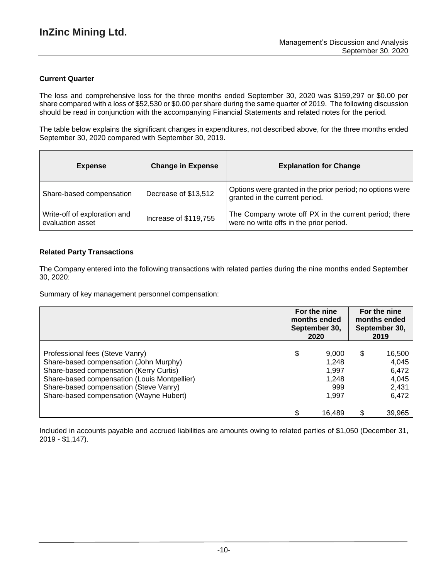# **Current Quarter**

The loss and comprehensive loss for the three months ended September 30, 2020 was \$159,297 or \$0.00 per share compared with a loss of \$52,530 or \$0.00 per share during the same quarter of 2019. The following discussion should be read in conjunction with the accompanying Financial Statements and related notes for the period.

The table below explains the significant changes in expenditures, not described above, for the three months ended September 30, 2020 compared with September 30, 2019.

| <b>Expense</b>                                   | <b>Change in Expense</b> | <b>Explanation for Change</b>                                                                    |
|--------------------------------------------------|--------------------------|--------------------------------------------------------------------------------------------------|
| Share-based compensation                         | Decrease of \$13,512     | Options were granted in the prior period; no options were<br>granted in the current period.      |
| Write-off of exploration and<br>evaluation asset | Increase of \$119,755    | The Company wrote off PX in the current period; there<br>were no write offs in the prior period. |

# **Related Party Transactions**

The Company entered into the following transactions with related parties during the nine months ended September 30, 2020:

Summary of key management personnel compensation:

|                                              | For the nine<br>months ended<br>September 30,<br>2020 |        | For the nine<br>months ended<br>September 30,<br>2019 |        |
|----------------------------------------------|-------------------------------------------------------|--------|-------------------------------------------------------|--------|
| Professional fees (Steve Vanry)              | \$                                                    | 9,000  | \$                                                    | 16,500 |
| Share-based compensation (John Murphy)       |                                                       | 1,248  |                                                       | 4,045  |
| Share-based compensation (Kerry Curtis)      |                                                       | 1,997  |                                                       | 6,472  |
| Share-based compensation (Louis Montpellier) |                                                       | 1,248  |                                                       | 4,045  |
| Share-based compensation (Steve Vanry)       |                                                       | 999    |                                                       | 2,431  |
| Share-based compensation (Wayne Hubert)      |                                                       | 1,997  |                                                       | 6,472  |
|                                              |                                                       | 16.489 | \$                                                    | 39,965 |

Included in accounts payable and accrued liabilities are amounts owing to related parties of \$1,050 (December 31, 2019 - \$1,147).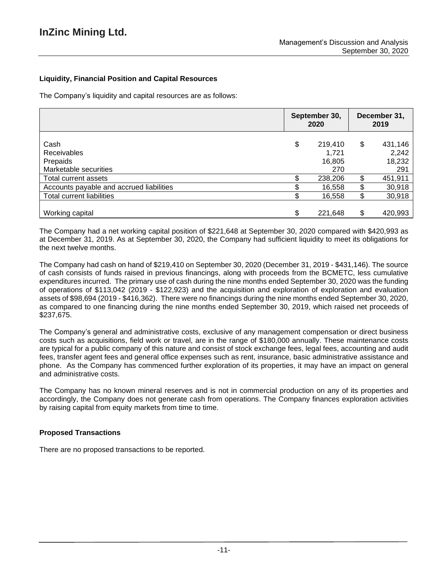# **Liquidity, Financial Position and Capital Resources**

The Company's liquidity and capital resources are as follows:

|                                                          | September 30,<br>2020 |                                   | December 31,<br>2019 |                                   |
|----------------------------------------------------------|-----------------------|-----------------------------------|----------------------|-----------------------------------|
| Cash<br>Receivables<br>Prepaids<br>Marketable securities | \$                    | 219,410<br>1.721<br>16,805<br>270 | \$                   | 431,146<br>2,242<br>18,232<br>291 |
| Total current assets                                     |                       | 238,206                           | \$                   | 451,911                           |
| Accounts payable and accrued liabilities                 |                       | 16,558                            | \$                   | 30,918                            |
| <b>Total current liabilities</b>                         |                       | 16,558                            | \$                   | 30,918                            |
| Working capital                                          | \$                    | 221,648                           | \$                   | 420,993                           |

The Company had a net working capital position of \$221,648 at September 30, 2020 compared with \$420,993 as at December 31, 2019. As at September 30, 2020, the Company had sufficient liquidity to meet its obligations for the next twelve months.

The Company had cash on hand of \$219,410 on September 30, 2020 (December 31, 2019 - \$431,146). The source of cash consists of funds raised in previous financings, along with proceeds from the BCMETC, less cumulative expenditures incurred. The primary use of cash during the nine months ended September 30, 2020 was the funding of operations of \$113,042 (2019 - \$122,923) and the acquisition and exploration of exploration and evaluation assets of \$98,694 (2019 - \$416,362). There were no financings during the nine months ended September 30, 2020, as compared to one financing during the nine months ended September 30, 2019, which raised net proceeds of \$237,675.

The Company's general and administrative costs, exclusive of any management compensation or direct business costs such as acquisitions, field work or travel, are in the range of \$180,000 annually. These maintenance costs are typical for a public company of this nature and consist of stock exchange fees, legal fees, accounting and audit fees, transfer agent fees and general office expenses such as rent, insurance, basic administrative assistance and phone. As the Company has commenced further exploration of its properties, it may have an impact on general and administrative costs.

The Company has no known mineral reserves and is not in commercial production on any of its properties and accordingly, the Company does not generate cash from operations. The Company finances exploration activities by raising capital from equity markets from time to time.

## **Proposed Transactions**

There are no proposed transactions to be reported.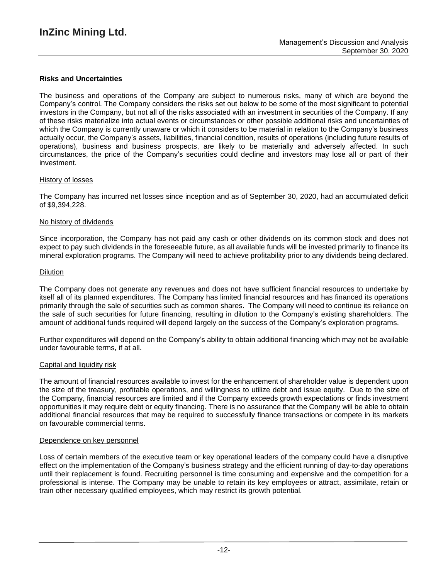### **Risks and Uncertainties**

The business and operations of the Company are subject to numerous risks, many of which are beyond the Company's control. The Company considers the risks set out below to be some of the most significant to potential investors in the Company, but not all of the risks associated with an investment in securities of the Company. If any of these risks materialize into actual events or circumstances or other possible additional risks and uncertainties of which the Company is currently unaware or which it considers to be material in relation to the Company's business actually occur, the Company's assets, liabilities, financial condition, results of operations (including future results of operations), business and business prospects, are likely to be materially and adversely affected. In such circumstances, the price of the Company's securities could decline and investors may lose all or part of their investment.

### History of losses

The Company has incurred net losses since inception and as of September 30, 2020, had an accumulated deficit of \$9,394,228.

#### No history of dividends

Since incorporation, the Company has not paid any cash or other dividends on its common stock and does not expect to pay such dividends in the foreseeable future, as all available funds will be invested primarily to finance its mineral exploration programs. The Company will need to achieve profitability prior to any dividends being declared.

#### Dilution

The Company does not generate any revenues and does not have sufficient financial resources to undertake by itself all of its planned expenditures. The Company has limited financial resources and has financed its operations primarily through the sale of securities such as common shares. The Company will need to continue its reliance on the sale of such securities for future financing, resulting in dilution to the Company's existing shareholders. The amount of additional funds required will depend largely on the success of the Company's exploration programs.

Further expenditures will depend on the Company's ability to obtain additional financing which may not be available under favourable terms, if at all.

#### Capital and liquidity risk

The amount of financial resources available to invest for the enhancement of shareholder value is dependent upon the size of the treasury, profitable operations, and willingness to utilize debt and issue equity. Due to the size of the Company, financial resources are limited and if the Company exceeds growth expectations or finds investment opportunities it may require debt or equity financing. There is no assurance that the Company will be able to obtain additional financial resources that may be required to successfully finance transactions or compete in its markets on favourable commercial terms.

#### Dependence on key personnel

Loss of certain members of the executive team or key operational leaders of the company could have a disruptive effect on the implementation of the Company's business strategy and the efficient running of day-to-day operations until their replacement is found. Recruiting personnel is time consuming and expensive and the competition for a professional is intense. The Company may be unable to retain its key employees or attract, assimilate, retain or train other necessary qualified employees, which may restrict its growth potential.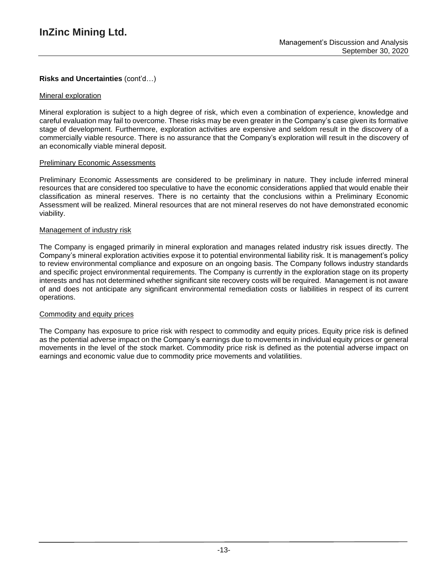# **Risks and Uncertainties** (cont'd…)

### Mineral exploration

Mineral exploration is subject to a high degree of risk, which even a combination of experience, knowledge and careful evaluation may fail to overcome. These risks may be even greater in the Company's case given its formative stage of development. Furthermore, exploration activities are expensive and seldom result in the discovery of a commercially viable resource. There is no assurance that the Company's exploration will result in the discovery of an economically viable mineral deposit.

### Preliminary Economic Assessments

Preliminary Economic Assessments are considered to be preliminary in nature. They include inferred mineral resources that are considered too speculative to have the economic considerations applied that would enable their classification as mineral reserves. There is no certainty that the conclusions within a Preliminary Economic Assessment will be realized. Mineral resources that are not mineral reserves do not have demonstrated economic viability.

### Management of industry risk

The Company is engaged primarily in mineral exploration and manages related industry risk issues directly. The Company's mineral exploration activities expose it to potential environmental liability risk. It is management's policy to review environmental compliance and exposure on an ongoing basis. The Company follows industry standards and specific project environmental requirements. The Company is currently in the exploration stage on its property interests and has not determined whether significant site recovery costs will be required. Management is not aware of and does not anticipate any significant environmental remediation costs or liabilities in respect of its current operations.

#### Commodity and equity prices

The Company has exposure to price risk with respect to commodity and equity prices. Equity price risk is defined as the potential adverse impact on the Company's earnings due to movements in individual equity prices or general movements in the level of the stock market. Commodity price risk is defined as the potential adverse impact on earnings and economic value due to commodity price movements and volatilities.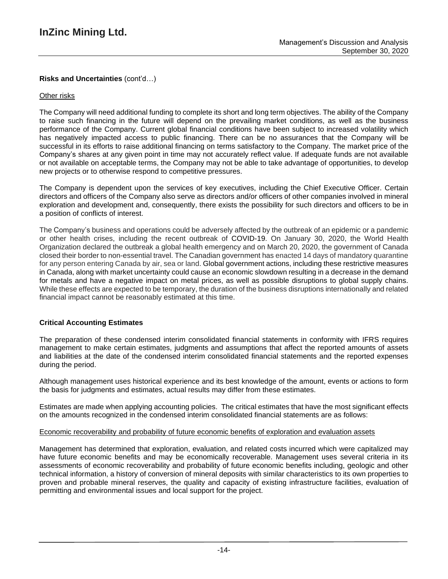# **Risks and Uncertainties** (cont'd…)

### Other risks

The Company will need additional funding to complete its short and long term objectives. The ability of the Company to raise such financing in the future will depend on the prevailing market conditions, as well as the business performance of the Company. Current global financial conditions have been subject to increased volatility which has negatively impacted access to public financing. There can be no assurances that the Company will be successful in its efforts to raise additional financing on terms satisfactory to the Company. The market price of the Company's shares at any given point in time may not accurately reflect value. If adequate funds are not available or not available on acceptable terms, the Company may not be able to take advantage of opportunities, to develop new projects or to otherwise respond to competitive pressures.

The Company is dependent upon the services of key executives, including the Chief Executive Officer. Certain directors and officers of the Company also serve as directors and/or officers of other companies involved in mineral exploration and development and, consequently, there exists the possibility for such directors and officers to be in a position of conflicts of interest.

The Company's business and operations could be adversely affected by the outbreak of an epidemic or a pandemic or other health crises, including the recent outbreak of COVID-19. On January 30, 2020, the World Health Organization declared the outbreak a global health emergency and on March 20, 2020, the government of Canada closed their border to non-essential travel. The Canadian government has enacted 14 days of mandatory quarantine for any person entering Canada by air, sea or land. Global government actions, including these restrictive measures in Canada, along with market uncertainty could cause an economic slowdown resulting in a decrease in the demand for metals and have a negative impact on metal prices, as well as possible disruptions to global supply chains. While these effects are expected to be temporary, the duration of the business disruptions internationally and related financial impact cannot be reasonably estimated at this time.

## **Critical Accounting Estimates**

The preparation of these condensed interim consolidated financial statements in conformity with IFRS requires management to make certain estimates, judgments and assumptions that affect the reported amounts of assets and liabilities at the date of the condensed interim consolidated financial statements and the reported expenses during the period.

Although management uses historical experience and its best knowledge of the amount, events or actions to form the basis for judgments and estimates, actual results may differ from these estimates.

Estimates are made when applying accounting policies. The critical estimates that have the most significant effects on the amounts recognized in the condensed interim consolidated financial statements are as follows:

#### Economic recoverability and probability of future economic benefits of exploration and evaluation assets

Management has determined that exploration, evaluation, and related costs incurred which were capitalized may have future economic benefits and may be economically recoverable. Management uses several criteria in its assessments of economic recoverability and probability of future economic benefits including, geologic and other technical information, a history of conversion of mineral deposits with similar characteristics to its own properties to proven and probable mineral reserves, the quality and capacity of existing infrastructure facilities, evaluation of permitting and environmental issues and local support for the project.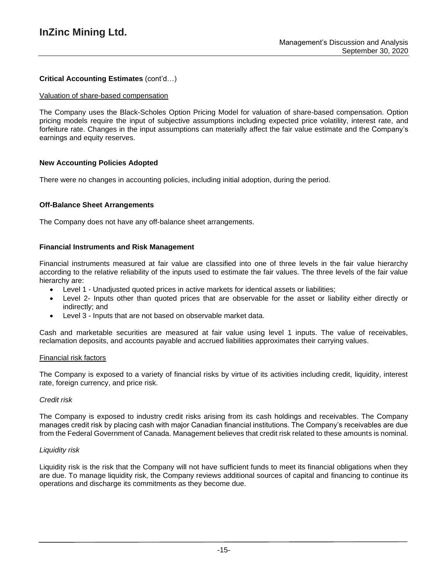# **Critical Accounting Estimates** (cont'd…)

#### Valuation of share-based compensation

The Company uses the Black-Scholes Option Pricing Model for valuation of share-based compensation. Option pricing models require the input of subjective assumptions including expected price volatility, interest rate, and forfeiture rate. Changes in the input assumptions can materially affect the fair value estimate and the Company's earnings and equity reserves.

## **New Accounting Policies Adopted**

There were no changes in accounting policies, including initial adoption, during the period.

### **Off-Balance Sheet Arrangements**

The Company does not have any off-balance sheet arrangements.

### **Financial Instruments and Risk Management**

Financial instruments measured at fair value are classified into one of three levels in the fair value hierarchy according to the relative reliability of the inputs used to estimate the fair values. The three levels of the fair value hierarchy are:

- Level 1 Unadjusted quoted prices in active markets for identical assets or liabilities;
- Level 2- Inputs other than quoted prices that are observable for the asset or liability either directly or indirectly; and
- Level 3 Inputs that are not based on observable market data.

Cash and marketable securities are measured at fair value using level 1 inputs. The value of receivables, reclamation deposits, and accounts payable and accrued liabilities approximates their carrying values.

#### Financial risk factors

The Company is exposed to a variety of financial risks by virtue of its activities including credit, liquidity, interest rate, foreign currency, and price risk.

#### *Credit risk*

The Company is exposed to industry credit risks arising from its cash holdings and receivables. The Company manages credit risk by placing cash with major Canadian financial institutions. The Company's receivables are due from the Federal Government of Canada. Management believes that credit risk related to these amounts is nominal.

#### *Liquidity risk*

Liquidity risk is the risk that the Company will not have sufficient funds to meet its financial obligations when they are due. To manage liquidity risk, the Company reviews additional sources of capital and financing to continue its operations and discharge its commitments as they become due.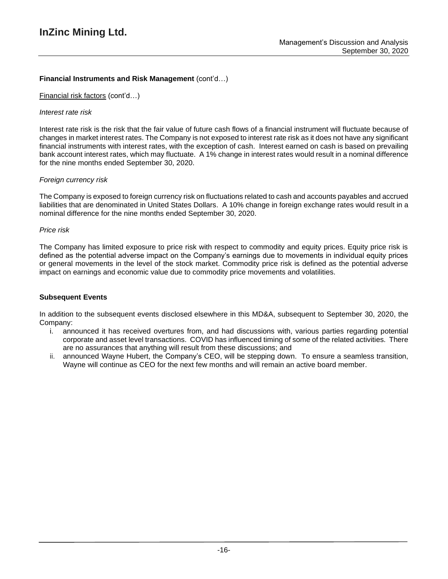# **Financial Instruments and Risk Management** (cont'd…)

### Financial risk factors (cont'd…)

### *Interest rate risk*

Interest rate risk is the risk that the fair value of future cash flows of a financial instrument will fluctuate because of changes in market interest rates. The Company is not exposed to interest rate risk as it does not have any significant financial instruments with interest rates, with the exception of cash. Interest earned on cash is based on prevailing bank account interest rates, which may fluctuate. A 1% change in interest rates would result in a nominal difference for the nine months ended September 30, 2020.

## *Foreign currency risk*

The Company is exposed to foreign currency risk on fluctuations related to cash and accounts payables and accrued liabilities that are denominated in United States Dollars. A 10% change in foreign exchange rates would result in a nominal difference for the nine months ended September 30, 2020.

#### *Price risk*

The Company has limited exposure to price risk with respect to commodity and equity prices. Equity price risk is defined as the potential adverse impact on the Company's earnings due to movements in individual equity prices or general movements in the level of the stock market. Commodity price risk is defined as the potential adverse impact on earnings and economic value due to commodity price movements and volatilities.

## **Subsequent Events**

In addition to the subsequent events disclosed elsewhere in this MD&A, subsequent to September 30, 2020, the Company:

- i. announced it has received overtures from, and had discussions with, various parties regarding potential corporate and asset level transactions. COVID has influenced timing of some of the related activities. There are no assurances that anything will result from these discussions; and
- ii. announced Wayne Hubert, the Company's CEO, will be stepping down. To ensure a seamless transition, Wayne will continue as CEO for the next few months and will remain an active board member.